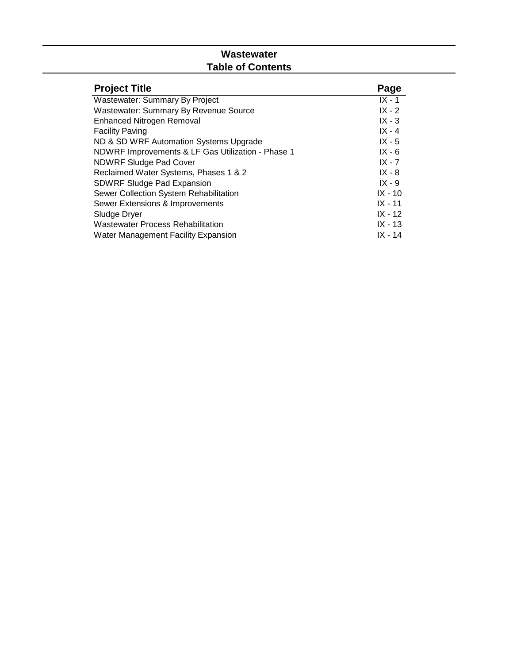## **Wastewater Table of Contents**

| <b>Project Title</b>                              | Page      |
|---------------------------------------------------|-----------|
| Wastewater: Summary By Project                    | $IX - 1$  |
| <b>Wastewater: Summary By Revenue Source</b>      | $IX - 2$  |
| <b>Enhanced Nitrogen Removal</b>                  | $IX - 3$  |
| <b>Facility Paving</b>                            | $IX - 4$  |
| ND & SD WRF Automation Systems Upgrade            | $IX - 5$  |
| NDWRF Improvements & LF Gas Utilization - Phase 1 | $IX - 6$  |
| <b>NDWRF Sludge Pad Cover</b>                     | $IX - 7$  |
| Reclaimed Water Systems, Phases 1 & 2             | $IX - 8$  |
| <b>SDWRF Sludge Pad Expansion</b>                 | $IX - 9$  |
| Sewer Collection System Rehabilitation            | $IX - 10$ |
| Sewer Extensions & Improvements                   | $IX - 11$ |
| Sludge Dryer                                      | $IX - 12$ |
| <b>Wastewater Process Rehabilitation</b>          | $IX - 13$ |
| <b>Water Management Facility Expansion</b>        | $IX - 14$ |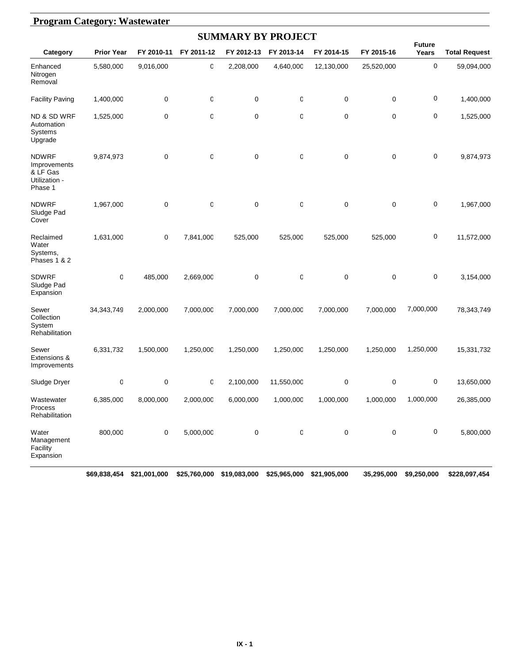|                                                                      | <b>Program Category: Wastewater</b> |            |             |                           |                  |            |            |                        |                      |  |  |  |  |
|----------------------------------------------------------------------|-------------------------------------|------------|-------------|---------------------------|------------------|------------|------------|------------------------|----------------------|--|--|--|--|
|                                                                      |                                     |            |             | <b>SUMMARY BY PROJECT</b> |                  |            |            |                        |                      |  |  |  |  |
| Category                                                             | <b>Prior Year</b>                   | FY 2010-11 | FY 2011-12  | FY 2012-13                | FY 2013-14       | FY 2014-15 | FY 2015-16 | <b>Future</b><br>Years | <b>Total Request</b> |  |  |  |  |
| Enhanced<br>Nitrogen<br>Removal                                      | 5,580,000                           | 9,016,000  | 0           | 2,208,000                 | 4,640,000        | 12,130,000 | 25,520,000 | 0                      | 59,094,000           |  |  |  |  |
| <b>Facility Paving</b>                                               | 1,400,000                           | 0          | 0           | $\pmb{0}$                 | 0                | $\pmb{0}$  | 0          | 0                      | 1,400,000            |  |  |  |  |
| <b>ND &amp; SD WRF</b><br>Automation<br>Systems<br>Upgrade           | 1,525,000                           | 0          | 0           | $\mathbf 0$               | 0                | 0          | 0          | 0                      | 1,525,000            |  |  |  |  |
| <b>NDWRF</b><br>Improvements<br>& LF Gas<br>Utilization -<br>Phase 1 | 9,874,973                           | 0          | $\mathbf 0$ | $\mathbf 0$               | 0                | $\pmb{0}$  | 0          | 0                      | 9,874,973            |  |  |  |  |
| <b>NDWRF</b><br>Sludge Pad<br>Cover                                  | 1,967,000                           | 0          | $\mathbf 0$ | $\mathbf 0$               | 0                | 0          | 0          | 0                      | 1,967,000            |  |  |  |  |
| Reclaimed<br>Water<br>Systems,<br>Phases 1 & 2                       | 1,631,000                           | 0          | 7,841,000   | 525,000                   | 525,000          | 525,000    | 525,000    | 0                      | 11,572,000           |  |  |  |  |
| <b>SDWRF</b><br>Sludge Pad<br>Expansion                              | O                                   | 485,000    | 2,669,000   | $\mathbf 0$               | 0                | 0          | 0          | 0                      | 3,154,000            |  |  |  |  |
| Sewer<br>Collection<br>System<br>Rehabilitation                      | 34, 343, 749                        | 2,000,000  | 7,000,000   | 7,000,000                 | 7,000,000        | 7,000,000  | 7,000,000  | 7,000,000              | 78,343,749           |  |  |  |  |
| Sewer<br>Extensions &<br>Improvements                                | 6,331,732                           | 1,500,000  | 1,250,000   | 1,250,000                 | 1,250,000        | 1,250,000  | 1,250,000  | 1,250,000              | 15,331,732           |  |  |  |  |
| Sludge Dryer                                                         | 0                                   | 0          | 0           | 2,100,000                 | 11,550,000       | 0          | 0          | 0                      | 13,650,000           |  |  |  |  |
| Wastewater<br>Process<br>Rehabilitation                              | 6,385,000                           | 8,000,000  | 2,000,000   | 6,000,000                 | 1,000,000        | 1,000,000  | 1,000,000  | 1,000,000              | 26,385,000           |  |  |  |  |
| Water<br>Management<br>Facility<br>Expansion                         | 800,000                             | 0          | 5,000,000   | 0                         | $\boldsymbol{0}$ | $\pmb{0}$  | 0          | 0                      | 5,800,000            |  |  |  |  |

#### **\$69,838,454 \$21,001,000 \$25,760,000 \$19,083,000 \$25,965,000 \$21,905,000 \$35,295,000 \$9,250,000 \$228,097,454**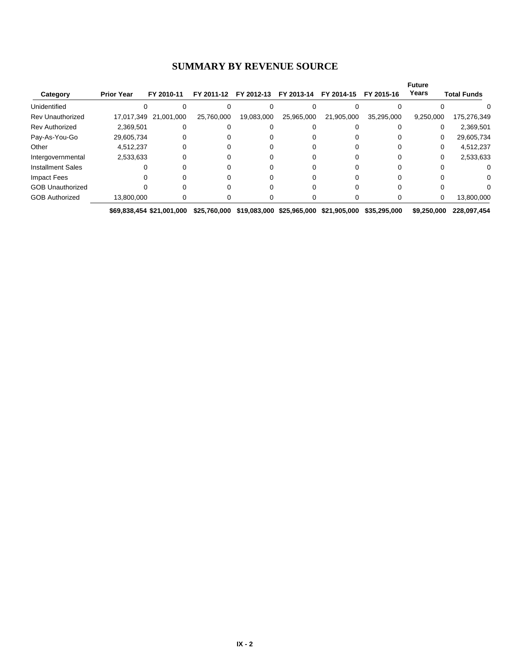#### **SUMMARY BY REVENUE SOURCE**

| 17,017,349 21,001,000 |                                      |            |            |            |            |            |           |             |
|-----------------------|--------------------------------------|------------|------------|------------|------------|------------|-----------|-------------|
|                       |                                      |            |            |            |            |            |           |             |
|                       |                                      | 25,760,000 | 19,083,000 | 25,965,000 | 21,905,000 | 35,295,000 | 9,250,000 | 175,276,349 |
| 2,369,501             |                                      |            |            |            |            |            | 0         | 2,369,501   |
|                       |                                      |            |            |            |            |            | 0         | 29,605,734  |
|                       |                                      |            |            |            |            |            | $\Omega$  | 4,512,237   |
|                       |                                      |            |            |            |            |            | 0         | 2,533,633   |
|                       |                                      |            |            |            |            |            |           |             |
|                       |                                      |            |            |            |            |            |           |             |
|                       |                                      |            |            |            |            |            |           | O.          |
|                       |                                      |            |            |            |            |            | 0         | 13,800,000  |
|                       | 29,605,734<br>4,512,237<br>2,533,633 | 13,800,000 |            |            |            |            |           |             |

**\$69,838,454 \$21,001,000 \$25,760,000 \$19,083,000 \$25,965,000 \$21,905,000 \$35,295,000 \$9,250,000 \$228,097,454**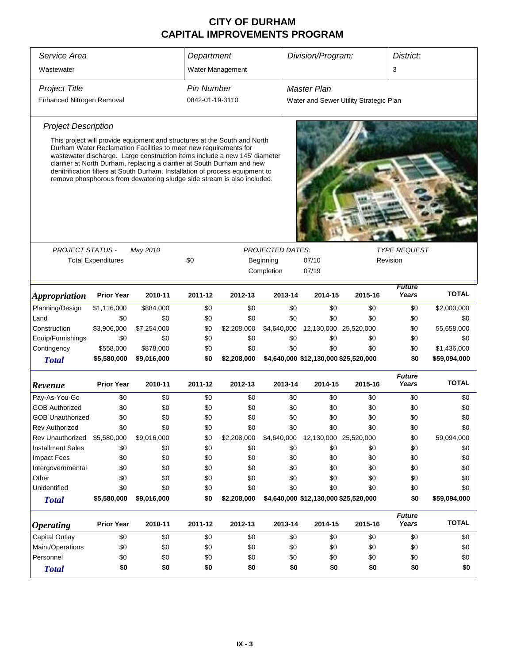| Service Area                  |                           |                                                                                                                                                                                                                                                                                                                                                                                                                                                                     | Department        |                  |                         | Division/Program:                     |                                        | District:              |              |
|-------------------------------|---------------------------|---------------------------------------------------------------------------------------------------------------------------------------------------------------------------------------------------------------------------------------------------------------------------------------------------------------------------------------------------------------------------------------------------------------------------------------------------------------------|-------------------|------------------|-------------------------|---------------------------------------|----------------------------------------|------------------------|--------------|
| Wastewater                    |                           |                                                                                                                                                                                                                                                                                                                                                                                                                                                                     |                   | Water Management |                         |                                       |                                        | 3                      |              |
| <b>Project Title</b>          |                           |                                                                                                                                                                                                                                                                                                                                                                                                                                                                     | <b>Pin Number</b> |                  |                         | <b>Master Plan</b>                    |                                        |                        |              |
| Enhanced Nitrogen Removal     |                           |                                                                                                                                                                                                                                                                                                                                                                                                                                                                     | 0842-01-19-3110   |                  |                         |                                       | Water and Sewer Utility Strategic Plan |                        |              |
| <b>Project Description</b>    |                           |                                                                                                                                                                                                                                                                                                                                                                                                                                                                     |                   |                  |                         |                                       |                                        |                        |              |
|                               |                           | This project will provide equipment and structures at the South and North<br>Durham Water Reclamation Facilities to meet new requirements for<br>wastewater discharge. Large construction items include a new 145' diameter<br>clarifier at North Durham, replacing a clarifier at South Durham and new<br>denitrification filters at South Durham. Installation of process equipment to<br>remove phosphorous from dewatering sludge side stream is also included. |                   |                  |                         |                                       |                                        |                        |              |
|                               |                           |                                                                                                                                                                                                                                                                                                                                                                                                                                                                     |                   |                  |                         |                                       |                                        |                        |              |
| <b>PROJECT STATUS -</b>       |                           | May 2010                                                                                                                                                                                                                                                                                                                                                                                                                                                            |                   |                  | <b>PROJECTED DATES:</b> |                                       |                                        | <b>TYPE REQUEST</b>    |              |
|                               | <b>Total Expenditures</b> |                                                                                                                                                                                                                                                                                                                                                                                                                                                                     | \$0               |                  | Beginning               | 07/10                                 |                                        | Revision               |              |
|                               |                           |                                                                                                                                                                                                                                                                                                                                                                                                                                                                     |                   |                  | Completion              | 07/19                                 |                                        |                        |              |
| <i><b>Appropriation</b></i>   | <b>Prior Year</b>         | 2010-11                                                                                                                                                                                                                                                                                                                                                                                                                                                             | 2011-12           | 2012-13          | 2013-14                 | 2014-15                               | 2015-16                                | <b>Future</b><br>Years | <b>TOTAL</b> |
| Planning/Design               | \$1,116,000               | \$884,000                                                                                                                                                                                                                                                                                                                                                                                                                                                           | \$0               | \$0              | \$0                     | \$0                                   | \$0                                    | \$0                    | \$2,000,000  |
| Land                          | \$0                       | \$0                                                                                                                                                                                                                                                                                                                                                                                                                                                                 | \$0               | \$0              | \$0                     | \$0                                   | \$0                                    | \$0                    | \$0          |
| Construction                  | \$3,906,000               | \$7,254,000                                                                                                                                                                                                                                                                                                                                                                                                                                                         | \$0               | \$2,208,000      | \$4,640,000             | 12,130,000 25,520,000                 |                                        | \$0                    | 55,658,000   |
| Equip/Furnishings             | \$0                       | \$0                                                                                                                                                                                                                                                                                                                                                                                                                                                                 | \$0               | \$0              | \$0                     | \$0                                   | \$0                                    | \$0                    | \$0          |
| Contingency                   | \$558,000                 | \$878,000                                                                                                                                                                                                                                                                                                                                                                                                                                                           | \$0               | \$0              | \$0                     | \$0                                   | \$0                                    | \$0                    | \$1,436,000  |
| <b>Total</b>                  | \$5,580,000               | \$9,016,000                                                                                                                                                                                                                                                                                                                                                                                                                                                         | \$0               | \$2,208,000      |                         | \$4,640,000 \$12,130,000 \$25,520,000 |                                        | \$0                    | \$59,094,000 |
| Revenue                       | <b>Prior Year</b>         | 2010-11                                                                                                                                                                                                                                                                                                                                                                                                                                                             | 2011-12           | 2012-13          | 2013-14                 | 2014-15                               | 2015-16                                | <b>Future</b><br>Years | <b>TOTAL</b> |
| Pay-As-You-Go                 | \$0                       | \$0                                                                                                                                                                                                                                                                                                                                                                                                                                                                 | \$0               | \$0              | \$0                     | \$0                                   | \$0                                    | \$0                    | \$0          |
| <b>GOB Authorized</b>         | \$0                       | \$0                                                                                                                                                                                                                                                                                                                                                                                                                                                                 | \$0               | \$0              | \$0                     | \$0                                   | \$0                                    | \$0                    | \$0          |
| <b>GOB Unauthorized</b>       | \$0                       | \$0                                                                                                                                                                                                                                                                                                                                                                                                                                                                 | \$0               | \$0              | \$0                     | \$0                                   | \$0                                    | \$0                    | \$0          |
| Rev Authorized                | \$0                       | \$0                                                                                                                                                                                                                                                                                                                                                                                                                                                                 | \$0               | \$0              | \$0                     | \$0                                   | \$0                                    | \$0                    | \$0          |
| Rev Unauthorized              | \$5,580,000               | \$9,016,000                                                                                                                                                                                                                                                                                                                                                                                                                                                         | \$0               | \$2,208,000      | \$4,640,000             | 12,130,000 25,520,000                 |                                        | \$0                    | 59,094,000   |
| <b>Installment Sales</b>      | \$0                       | \$0                                                                                                                                                                                                                                                                                                                                                                                                                                                                 | \$0               | \$0              | \$0                     | \$0                                   | \$0                                    | \$0                    | \$0          |
| <b>Impact Fees</b>            | \$0                       | \$0                                                                                                                                                                                                                                                                                                                                                                                                                                                                 | \$0               | \$0              | \$0                     | \$0                                   | \$0                                    | \$0                    | \$0          |
| Intergovernmental             | \$0                       | \$0                                                                                                                                                                                                                                                                                                                                                                                                                                                                 | \$0               | \$0              | \$0                     | \$0                                   | \$0                                    | \$0                    | \$0          |
| Other                         | \$0                       | \$0                                                                                                                                                                                                                                                                                                                                                                                                                                                                 | \$0               | \$0              | \$0                     | \$0                                   | \$0                                    | \$0                    | \$0          |
| Unidentified                  | \$0                       | \$0                                                                                                                                                                                                                                                                                                                                                                                                                                                                 | \$0               | \$0              | \$0                     | \$0                                   | \$0                                    | \$0                    | \$0          |
| <b>Total</b>                  | \$5,580,000               | \$9,016,000                                                                                                                                                                                                                                                                                                                                                                                                                                                         | \$0               | \$2,208,000      |                         | \$4,640,000 \$12,130,000 \$25,520,000 |                                        | \$0                    | \$59,094,000 |
| <b>Operating</b>              | <b>Prior Year</b>         | 2010-11                                                                                                                                                                                                                                                                                                                                                                                                                                                             | 2011-12           | 2012-13          | 2013-14                 | 2014-15                               | 2015-16                                | <b>Future</b><br>Years | <b>TOTAL</b> |
|                               |                           |                                                                                                                                                                                                                                                                                                                                                                                                                                                                     |                   |                  |                         |                                       |                                        |                        |              |
| Capital Outlay                | \$0                       | \$0                                                                                                                                                                                                                                                                                                                                                                                                                                                                 | \$0               | \$0              | \$0                     | \$0                                   | \$0                                    | \$0                    | \$0          |
| Maint/Operations<br>Personnel | \$0<br>\$0                | \$0<br>\$0                                                                                                                                                                                                                                                                                                                                                                                                                                                          | \$0<br>\$0        | \$0<br>\$0       | \$0<br>\$0              | \$0<br>\$0                            | \$0<br>\$0                             | \$0                    | \$0          |
|                               |                           |                                                                                                                                                                                                                                                                                                                                                                                                                                                                     |                   |                  |                         |                                       |                                        | \$0                    | \$0          |
| <b>Total</b>                  | \$0                       | \$0                                                                                                                                                                                                                                                                                                                                                                                                                                                                 | \$0               | \$0              | \$0                     | \$0                                   | \$0                                    | \$0                    | \$0          |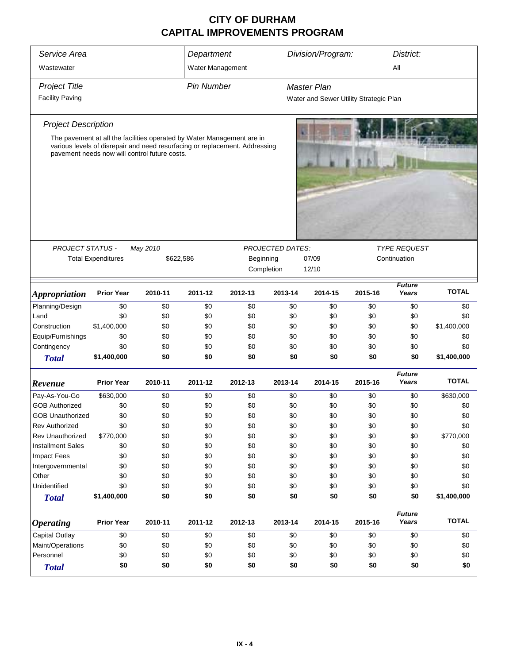| Service Area<br>Wastewater  |                                                                                                                         |          | Department<br>Water Management                                                    |                                                                             |         | Division/Program:                      |              | District:<br>All       |              |
|-----------------------------|-------------------------------------------------------------------------------------------------------------------------|----------|-----------------------------------------------------------------------------------|-----------------------------------------------------------------------------|---------|----------------------------------------|--------------|------------------------|--------------|
| <b>Project Title</b>        |                                                                                                                         |          | <b>Pin Number</b>                                                                 |                                                                             |         | <b>Master Plan</b>                     |              |                        |              |
| <b>Facility Paving</b>      |                                                                                                                         |          |                                                                                   |                                                                             |         | Water and Sewer Utility Strategic Plan |              |                        |              |
| <b>Project Description</b>  |                                                                                                                         |          |                                                                                   |                                                                             |         |                                        |              |                        |              |
|                             | The pavement at all the facilities operated by Water Management are in<br>pavement needs now will control future costs. |          |                                                                                   | various levels of disrepair and need resurfacing or replacement. Addressing |         |                                        |              |                        |              |
| <b>PROJECT STATUS -</b>     |                                                                                                                         | May 2010 |                                                                                   |                                                                             |         |                                        |              | <b>TYPE REQUEST</b>    |              |
|                             | <b>Total Expenditures</b>                                                                                               |          | <b>PROJECTED DATES:</b><br>Beginning<br>\$622,586<br>07/09<br>Completion<br>12/10 |                                                                             |         |                                        | Continuation |                        |              |
| <i><b>Appropriation</b></i> | <b>Prior Year</b>                                                                                                       | 2010-11  | 2011-12                                                                           | 2012-13                                                                     | 2013-14 | 2014-15                                | 2015-16      | <b>Future</b><br>Years | <b>TOTAL</b> |
| Planning/Design             | \$0                                                                                                                     | \$0      | \$0                                                                               | \$0                                                                         | \$0     | \$0                                    | \$0          | \$0                    | \$0          |
| Land                        | \$0                                                                                                                     | \$0      | \$0                                                                               | \$0                                                                         | \$0     | \$0                                    | \$0          | \$0                    | \$0          |
| Construction                | \$1,400,000                                                                                                             | \$0      | \$0                                                                               | \$0                                                                         | \$0     | \$0                                    | \$0          | \$0                    | \$1,400,000  |
| Equip/Furnishings           | \$0                                                                                                                     | \$0      | \$0                                                                               | \$0                                                                         | \$0     | \$0                                    | \$0          | \$0                    | \$0          |
| Contingency                 | \$0                                                                                                                     | \$0      | \$0                                                                               | \$0                                                                         | \$0     | \$0                                    | \$0          | \$0                    | \$0          |
| <b>Total</b>                | \$1,400,000                                                                                                             | \$0      | \$0                                                                               | \$0                                                                         | \$0     | \$0                                    | \$0          | \$0                    | \$1,400,000  |
| Revenue                     | <b>Prior Year</b>                                                                                                       | 2010-11  | 2011-12                                                                           | 2012-13                                                                     | 2013-14 | 2014-15                                | 2015-16      | <b>Future</b><br>Years | <b>TOTAL</b> |
| Pay-As-You-Go               | \$630,000                                                                                                               | \$0      | \$0                                                                               | \$0                                                                         | \$0     | \$0                                    | \$0          | \$0                    | \$630,000    |
| <b>GOB Authorized</b>       | \$0                                                                                                                     | \$0      | \$0                                                                               | \$0                                                                         | \$0     | \$0                                    | \$0          | \$0                    | \$0          |
| <b>GOB Unauthorized</b>     | \$0                                                                                                                     | \$0      | \$0                                                                               | \$0                                                                         | \$0     | \$0                                    | \$0          | \$0                    | \$0          |
| <b>Rev Authorized</b>       | \$0                                                                                                                     | \$0      | \$0                                                                               | \$0                                                                         | \$0     | \$0                                    | \$0          | \$0                    | \$0          |
| <b>Rev Unauthorized</b>     | \$770,000                                                                                                               | \$0      | \$0                                                                               | \$0                                                                         | \$0     | \$0                                    | \$0          | \$0                    | \$770,000    |
| <b>Installment Sales</b>    | \$0                                                                                                                     | \$0      | \$0                                                                               | \$0                                                                         | \$0     | \$0                                    | \$0          | \$0                    | \$0          |
| <b>Impact Fees</b>          | \$0                                                                                                                     | \$0      | \$0                                                                               | \$0                                                                         | \$0     | \$0                                    | \$0          | \$0                    | \$0          |
| Intergovernmental           | \$0                                                                                                                     | \$0      | \$0                                                                               | \$0                                                                         | \$0     | \$0                                    | \$0          | \$0                    | \$0          |
| Other                       | \$0                                                                                                                     | \$0      | \$0                                                                               | \$0                                                                         | \$0     | \$0                                    | \$0          | \$0                    | \$0          |
| Unidentified                | \$0                                                                                                                     | \$0      | \$0                                                                               | \$0                                                                         | \$0     | \$0                                    | \$0          | \$0                    | \$0          |
| <b>Total</b>                | \$1,400,000                                                                                                             | \$0      | \$0                                                                               | \$0                                                                         | \$0     | \$0                                    | \$0          | \$0                    | \$1,400,000  |
| <b>Operating</b>            | <b>Prior Year</b>                                                                                                       | 2010-11  | 2011-12                                                                           | 2012-13                                                                     | 2013-14 | 2014-15                                | 2015-16      | <b>Future</b><br>Years | <b>TOTAL</b> |
| <b>Capital Outlay</b>       | \$0                                                                                                                     | \$0      | \$0                                                                               | \$0                                                                         | \$0     | \$0                                    | \$0          | \$0                    | \$0          |
| Maint/Operations            | \$0                                                                                                                     | \$0      | \$0                                                                               | \$0                                                                         | \$0     | \$0                                    | \$0          | \$0                    | \$0          |
| Personnel                   | \$0                                                                                                                     | \$0      | \$0                                                                               | \$0                                                                         | \$0     | \$0                                    | \$0          | \$0                    | \$0          |
| <b>Total</b>                | \$0                                                                                                                     | \$0      | \$0                                                                               | \$0                                                                         | \$0     | \$0                                    | \$0          | \$0                    | \$0          |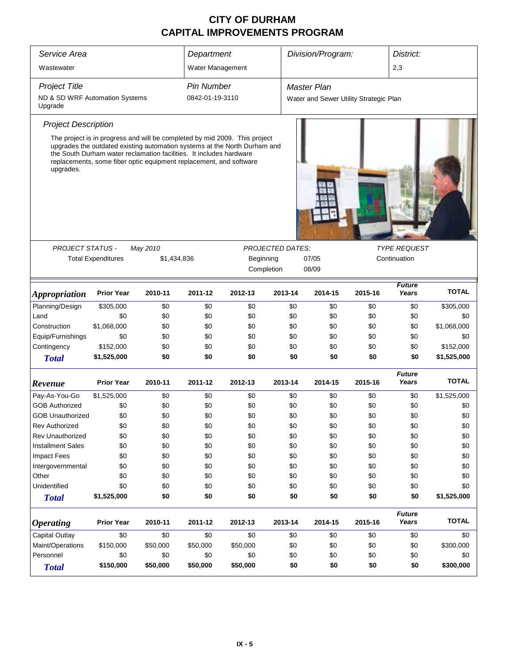| Service Area                              |                                                                                                                                                                                                                                                                                                      |                         | Department        |            |                         | Division/Program:                      |         | District:              |              |
|-------------------------------------------|------------------------------------------------------------------------------------------------------------------------------------------------------------------------------------------------------------------------------------------------------------------------------------------------------|-------------------------|-------------------|------------|-------------------------|----------------------------------------|---------|------------------------|--------------|
| Wastewater                                |                                                                                                                                                                                                                                                                                                      |                         | Water Management  |            |                         |                                        |         | 2,3                    |              |
| <b>Project Title</b>                      |                                                                                                                                                                                                                                                                                                      |                         | <b>Pin Number</b> |            |                         | <b>Master Plan</b>                     |         |                        |              |
| ND & SD WRF Automation Systems<br>Upgrade |                                                                                                                                                                                                                                                                                                      |                         | 0842-01-19-3110   |            |                         | Water and Sewer Utility Strategic Plan |         |                        |              |
| <b>Project Description</b>                |                                                                                                                                                                                                                                                                                                      |                         |                   |            |                         |                                        |         |                        |              |
| upgrades.                                 | The project is in progress and will be completed by mid 2009. This project<br>upgrades the outdated existing automation systems at the North Durham and<br>the South Durham water reclamation facilities. It includes hardware<br>replacements, some fiber optic equipment replacement, and software |                         |                   |            |                         |                                        |         |                        |              |
| <b>PROJECT STATUS -</b>                   |                                                                                                                                                                                                                                                                                                      |                         |                   |            | <b>PROJECTED DATES:</b> |                                        |         | <b>TYPE REQUEST</b>    |              |
|                                           | <b>Total Expenditures</b>                                                                                                                                                                                                                                                                            | May 2010<br>\$1,434,836 |                   | Beginning  |                         | 07/05                                  |         | Continuation           |              |
|                                           |                                                                                                                                                                                                                                                                                                      |                         |                   | Completion |                         | 08/09                                  |         |                        |              |
|                                           |                                                                                                                                                                                                                                                                                                      |                         |                   |            |                         |                                        |         |                        |              |
| <b>Appropriation</b>                      | <b>Prior Year</b>                                                                                                                                                                                                                                                                                    | 2010-11                 | 2011-12           | 2012-13    | 2013-14                 | 2014-15                                | 2015-16 | <b>Future</b><br>Years | <b>TOTAL</b> |
| Planning/Design                           | \$305,000                                                                                                                                                                                                                                                                                            | \$0                     | \$0               | \$0        | \$0                     | \$0                                    | \$0     | \$0                    | \$305,000    |
| Land                                      | \$0                                                                                                                                                                                                                                                                                                  | \$0                     | \$0               | \$0        | \$0                     | \$0                                    | \$0     | \$0                    | \$0          |
| Construction                              | \$1,068,000                                                                                                                                                                                                                                                                                          | \$0                     | \$0               | \$0        | \$0                     | \$0                                    | \$0     | \$0                    | \$1,068,000  |
| Equip/Furnishings                         | \$0                                                                                                                                                                                                                                                                                                  | \$0                     | \$0               | \$0        | \$0                     | \$0                                    | \$0     | \$0                    | \$0          |
| Contingency                               | \$152,000                                                                                                                                                                                                                                                                                            | \$0                     | \$0               | \$0        | \$0                     | \$0                                    | \$0     | \$0                    | \$152,000    |
| <b>Total</b>                              | \$1,525,000                                                                                                                                                                                                                                                                                          | \$0                     | \$0               | \$0        | \$0                     | \$0                                    | \$0     | \$0                    | \$1,525,000  |
|                                           |                                                                                                                                                                                                                                                                                                      |                         |                   |            |                         |                                        |         | <b>Future</b>          |              |
| Revenue                                   | <b>Prior Year</b>                                                                                                                                                                                                                                                                                    | 2010-11                 | 2011-12           | 2012-13    | 2013-14                 | 2014-15                                | 2015-16 | Years                  | <b>TOTAL</b> |
| Pay-As-You-Go                             | \$1,525,000                                                                                                                                                                                                                                                                                          | \$0                     | \$0               | \$0        | \$0                     | \$0                                    | \$0     | \$0                    | \$1,525,000  |
| <b>GOB Authorized</b>                     | \$0                                                                                                                                                                                                                                                                                                  | \$0                     | \$0               | \$0        | \$0                     | \$0                                    | \$0     | \$0                    | \$0          |
| <b>GOB Unauthorized</b>                   | \$0                                                                                                                                                                                                                                                                                                  | \$0                     | \$0               | \$0        | \$0                     | \$0                                    | \$0     | \$0                    | \$0          |
| <b>Rev Authorized</b>                     | \$0                                                                                                                                                                                                                                                                                                  | \$0                     | \$0               | \$0        | \$0                     | \$0                                    | \$0     | \$0                    | \$0          |
| <b>Rev Unauthorized</b>                   | \$0                                                                                                                                                                                                                                                                                                  | \$0                     | \$0               | \$0        | \$0                     | \$0                                    | \$0     | \$0                    | \$0          |
| <b>Installment Sales</b>                  | \$0                                                                                                                                                                                                                                                                                                  | \$0                     | \$0               | \$0        | \$0                     | \$0                                    | \$0     | \$0                    | \$0          |
| <b>Impact Fees</b>                        | \$0                                                                                                                                                                                                                                                                                                  | \$0                     | \$0               | \$0        | \$0                     | \$0                                    | \$0     | \$0                    | \$0          |
| Intergovernmental                         | \$0                                                                                                                                                                                                                                                                                                  | \$0                     | \$0               | \$0        | \$0                     | \$0                                    | \$0     | \$0                    | \$0          |
| Other                                     | \$0                                                                                                                                                                                                                                                                                                  | \$0                     | \$0               | \$0        | \$0                     | \$0                                    | \$0     | \$0                    | \$0          |
| Unidentified                              | \$0                                                                                                                                                                                                                                                                                                  | \$0                     | \$0               | \$0        | \$0                     | \$0                                    | \$0     | \$0                    | \$0          |
| <b>Total</b>                              | \$1,525,000                                                                                                                                                                                                                                                                                          | \$0                     | \$0               | \$0        | \$0                     | \$0                                    | \$0     | \$0                    | \$1,525,000  |
| <b>Operating</b>                          | <b>Prior Year</b>                                                                                                                                                                                                                                                                                    | 2010-11                 | 2011-12           | 2012-13    | 2013-14                 | 2014-15                                | 2015-16 | <b>Future</b><br>Years | <b>TOTAL</b> |
| Capital Outlay                            | \$0                                                                                                                                                                                                                                                                                                  | \$0                     | \$0               | \$0        | \$0                     | \$0                                    | \$0     | \$0                    | \$0          |
| Maint/Operations                          | \$150,000                                                                                                                                                                                                                                                                                            | \$50,000                | \$50,000          | \$50,000   | \$0                     | \$0                                    | \$0     | \$0                    | \$300,000    |
| Personnel                                 | \$0                                                                                                                                                                                                                                                                                                  | \$0                     | \$0               | \$0        | \$0                     | \$0                                    | \$0     | \$0                    | \$0          |
| <b>Total</b>                              | \$150,000                                                                                                                                                                                                                                                                                            | \$50,000                | \$50,000          | \$50,000   | \$0                     | \$0                                    | \$0     | \$0                    | \$300,000    |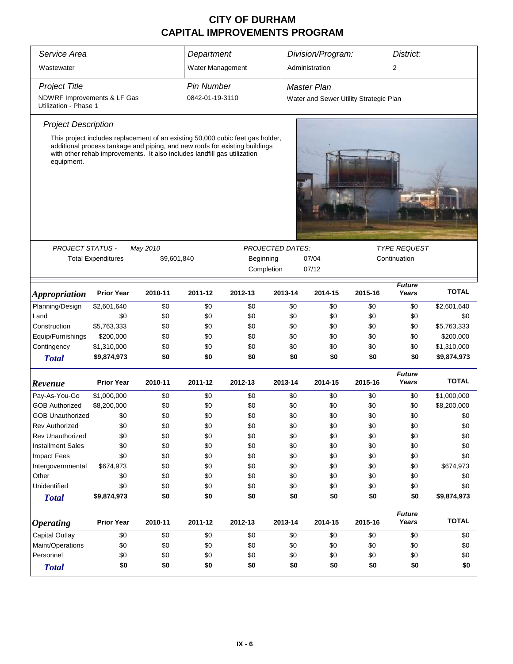| Service Area                                         | Department                                                                                                                                                                                                                                |             |                   | Division/Program:       |                         | District:                              |              |                        |              |  |
|------------------------------------------------------|-------------------------------------------------------------------------------------------------------------------------------------------------------------------------------------------------------------------------------------------|-------------|-------------------|-------------------------|-------------------------|----------------------------------------|--------------|------------------------|--------------|--|
|                                                      |                                                                                                                                                                                                                                           |             |                   |                         |                         |                                        |              |                        |              |  |
| Wastewater                                           |                                                                                                                                                                                                                                           |             | Water Management  |                         |                         | Administration                         |              | 2                      |              |  |
| <b>Project Title</b>                                 |                                                                                                                                                                                                                                           |             | <b>Pin Number</b> |                         |                         | <b>Master Plan</b>                     |              |                        |              |  |
| NDWRF Improvements & LF Gas<br>Utilization - Phase 1 |                                                                                                                                                                                                                                           |             | 0842-01-19-3110   |                         |                         | Water and Sewer Utility Strategic Plan |              |                        |              |  |
| <b>Project Description</b>                           |                                                                                                                                                                                                                                           |             |                   |                         |                         |                                        |              |                        |              |  |
| equipment.                                           | This project includes replacement of an existing 50,000 cubic feet gas holder,<br>additional process tankage and piping, and new roofs for existing buildings<br>with other rehab improvements. It also includes landfill gas utilization |             |                   |                         |                         |                                        |              |                        |              |  |
|                                                      |                                                                                                                                                                                                                                           |             |                   |                         |                         |                                        |              |                        |              |  |
| <b>PROJECT STATUS -</b>                              |                                                                                                                                                                                                                                           | May 2010    |                   |                         | <b>PROJECTED DATES:</b> |                                        |              | <b>TYPE REQUEST</b>    |              |  |
|                                                      | <b>Total Expenditures</b>                                                                                                                                                                                                                 | \$9,601,840 |                   | Beginning<br>Completion |                         | 07/04<br>07/12                         | Continuation |                        |              |  |
|                                                      |                                                                                                                                                                                                                                           |             |                   |                         |                         |                                        |              |                        |              |  |
| <i><b>Appropriation</b></i>                          | <b>Prior Year</b>                                                                                                                                                                                                                         | 2010-11     | 2011-12           | 2012-13                 | 2013-14                 | 2014-15                                | 2015-16      | <b>Future</b><br>Years | <b>TOTAL</b> |  |
| Planning/Design                                      | \$2,601,640                                                                                                                                                                                                                               | \$0         | \$0               | \$0                     | \$0                     | \$0                                    | \$0          | \$0                    | \$2,601,640  |  |
| Land                                                 | \$0                                                                                                                                                                                                                                       | \$0         | \$0               | \$0                     | \$0                     | \$0                                    | \$0          | \$0                    | \$0          |  |
| Construction                                         | \$5,763,333                                                                                                                                                                                                                               | \$0         | \$0               | \$0                     | \$0                     | \$0                                    | \$0          | \$0                    | \$5,763,333  |  |
| Equip/Furnishings                                    | \$200,000                                                                                                                                                                                                                                 | \$0         | \$0               | \$0                     | \$0                     | \$0                                    | \$0          | \$0                    | \$200,000    |  |
| Contingency                                          | \$1,310,000                                                                                                                                                                                                                               | \$0         | \$0               | \$0                     | \$0                     | \$0                                    | \$0          | \$0                    | \$1,310,000  |  |
| <b>Total</b>                                         | \$9,874,973                                                                                                                                                                                                                               | \$0         | \$0               | \$0                     | \$0                     | \$0                                    | \$0          | \$0                    | \$9,874,973  |  |
| Revenue                                              | <b>Prior Year</b>                                                                                                                                                                                                                         | 2010-11     | 2011-12           | 2012-13                 | 2013-14                 | 2014-15                                | 2015-16      | <b>Future</b><br>Years | <b>TOTAL</b> |  |
| Pay-As-You-Go                                        | \$1,000,000                                                                                                                                                                                                                               | \$0         | \$0               | \$0                     | \$0                     | \$0                                    | \$0          | \$0                    | \$1,000,000  |  |
| <b>GOB Authorized</b>                                | \$8,200,000                                                                                                                                                                                                                               | \$0         | \$0               | \$0                     | \$0                     | \$0                                    | \$0          | \$0                    | \$8,200,000  |  |
| <b>GOB Unauthorized</b>                              | \$0                                                                                                                                                                                                                                       | \$0         | \$0               | \$0                     | \$0                     | \$0                                    | \$0          | \$0                    | \$0          |  |
| <b>Rev Authorized</b>                                | \$0                                                                                                                                                                                                                                       | \$0         | \$0               | \$0                     | \$0                     | \$0                                    | \$0          | \$0                    | \$0          |  |
| <b>Rev Unauthorized</b>                              | \$0                                                                                                                                                                                                                                       | \$0         | \$0               | \$0                     | \$0                     | \$0                                    | \$0          | \$0                    | \$0          |  |
| <b>Installment Sales</b>                             | \$0                                                                                                                                                                                                                                       | \$0         | \$0               | \$0                     | \$0                     | \$0                                    | \$0          | \$0                    | \$0          |  |
| <b>Impact Fees</b>                                   | \$0                                                                                                                                                                                                                                       | \$0         | \$0               | \$0                     | \$0                     | \$0                                    | \$0          | \$0                    | \$0          |  |
| Intergovernmental                                    | \$674,973                                                                                                                                                                                                                                 | \$0         | \$0               | \$0                     | \$0                     | \$0                                    | \$0          | \$0                    | \$674,973    |  |
| Other                                                | \$0                                                                                                                                                                                                                                       | \$0         | \$0               | \$0                     | \$0                     | \$0                                    | \$0          | \$0                    | \$0          |  |
| Unidentified                                         | \$0                                                                                                                                                                                                                                       | \$0         | \$0               | \$0                     | \$0                     | \$0                                    | \$0          | \$0                    | \$0          |  |
| <b>Total</b>                                         | \$9,874,973                                                                                                                                                                                                                               | \$0         | \$0               | \$0                     | \$0                     | \$0                                    | \$0          | \$0                    | \$9,874,973  |  |
| <i><b>Operating</b></i>                              | <b>Prior Year</b>                                                                                                                                                                                                                         | 2010-11     | 2011-12           | 2012-13                 | 2013-14                 | 2014-15                                | 2015-16      | <b>Future</b><br>Years | <b>TOTAL</b> |  |
| Capital Outlay                                       | \$0                                                                                                                                                                                                                                       | \$0         | \$0               | \$0                     | \$0                     | \$0                                    | \$0          | \$0                    | \$0          |  |
| Maint/Operations                                     | \$0                                                                                                                                                                                                                                       | \$0         | \$0               | \$0                     | \$0                     | \$0                                    | \$0          | \$0                    | \$0          |  |
| Personnel                                            | \$0                                                                                                                                                                                                                                       | \$0         | \$0               | \$0                     | \$0                     | \$0                                    | \$0          | \$0                    | \$0          |  |
| <b>Total</b>                                         | \$0                                                                                                                                                                                                                                       | \$0         | \$0               | \$0                     | \$0                     | \$0                                    | \$0          | \$0                    | \$0          |  |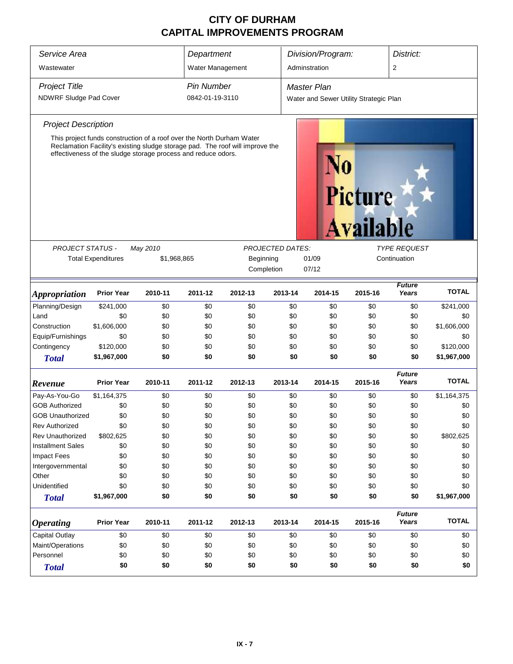| Service Area                | Department                                                                                                                                                                                                              |         |                                                   | Division/Program: |         | District:                              |                             |                        |              |
|-----------------------------|-------------------------------------------------------------------------------------------------------------------------------------------------------------------------------------------------------------------------|---------|---------------------------------------------------|-------------------|---------|----------------------------------------|-----------------------------|------------------------|--------------|
| Wastewater                  |                                                                                                                                                                                                                         |         | Water Management                                  |                   |         | Adminstration                          |                             | 2                      |              |
| <b>Project Title</b>        |                                                                                                                                                                                                                         |         | <b>Pin Number</b>                                 |                   |         | <b>Master Plan</b>                     |                             |                        |              |
| NDWRF Sludge Pad Cover      |                                                                                                                                                                                                                         |         | 0842-01-19-3110                                   |                   |         | Water and Sewer Utility Strategic Plan |                             |                        |              |
| <b>Project Description</b>  |                                                                                                                                                                                                                         |         |                                                   |                   |         |                                        |                             |                        |              |
|                             | This project funds construction of a roof over the North Durham Water<br>Reclamation Facility's existing sludge storage pad. The roof will improve the<br>effectiveness of the sludge storage process and reduce odors. |         |                                                   |                   |         |                                        | Picture<br><b>Available</b> |                        |              |
|                             | <b>PROJECTED DATES:</b><br><b>PROJECT STATUS -</b><br>May 2010<br><b>TYPE REQUEST</b>                                                                                                                                   |         |                                                   |                   |         |                                        |                             |                        |              |
|                             | <b>Total Expenditures</b>                                                                                                                                                                                               |         | \$1,968,865<br>Beginning<br>01/09<br>Continuation |                   |         |                                        |                             |                        |              |
|                             |                                                                                                                                                                                                                         |         |                                                   | Completion        |         | 07/12                                  |                             |                        |              |
| <i><b>Appropriation</b></i> | <b>Prior Year</b>                                                                                                                                                                                                       | 2010-11 | 2011-12                                           | 2012-13           | 2013-14 | 2014-15                                | 2015-16                     | <b>Future</b><br>Years | <b>TOTAL</b> |
| Planning/Design             | \$241,000                                                                                                                                                                                                               | \$0     | \$0                                               | \$0               | \$0     | \$0                                    | \$0                         | \$0                    | \$241,000    |
| Land                        | \$0                                                                                                                                                                                                                     | \$0     | \$0                                               | \$0               | \$0     | \$0                                    | \$0                         | \$0                    | \$0          |
| Construction                | \$1,606,000                                                                                                                                                                                                             | \$0     | \$0                                               | \$0               | \$0     | \$0                                    | \$0                         | \$0                    | \$1,606,000  |
| Equip/Furnishings           | \$0                                                                                                                                                                                                                     | \$0     | \$0                                               | \$0               | \$0     | \$0                                    | \$0                         | \$0                    | \$0          |
| Contingency                 | \$120,000                                                                                                                                                                                                               | \$0     | \$0                                               | \$0               | \$0     | \$0                                    | \$0                         | \$0                    | \$120,000    |
| <b>Total</b>                | \$1,967,000                                                                                                                                                                                                             | \$0     | \$0                                               | \$0               | \$0     | \$0                                    | \$0                         | \$0                    | \$1,967,000  |
| Revenue                     | <b>Prior Year</b>                                                                                                                                                                                                       | 2010-11 | 2011-12                                           | 2012-13           | 2013-14 | 2014-15                                | 2015-16                     | <b>Future</b><br>Years | <b>TOTAL</b> |
| Pay-As-You-Go               | \$1,164,375                                                                                                                                                                                                             | \$0     | \$0                                               | \$0               | \$0     | \$0                                    | \$0                         | \$0                    | \$1,164,375  |
| <b>GOB Authorized</b>       | \$0                                                                                                                                                                                                                     | \$0     | \$0                                               | \$0               | \$0     | \$0                                    | \$0                         | \$0                    | \$0          |
| <b>GOB Unauthorized</b>     | \$0                                                                                                                                                                                                                     | \$0     | \$0                                               | \$0               | \$0     | \$0                                    | \$0                         | \$0                    | \$0          |
| <b>Rev Authorized</b>       | \$0                                                                                                                                                                                                                     | \$0     | \$0                                               | \$0               | \$0     | \$0                                    | \$0                         | \$0                    | \$0          |
| Rev Unauthorized            | \$802,625                                                                                                                                                                                                               | \$0     | \$0                                               | \$0               | \$0     | \$0                                    | \$0                         | \$0                    | \$802,625    |
| <b>Installment Sales</b>    | \$0                                                                                                                                                                                                                     | \$0     | \$0                                               | \$0               | \$0     | \$0                                    | \$0                         | \$0                    | \$0          |
| <b>Impact Fees</b>          | \$0                                                                                                                                                                                                                     | \$0     | \$0                                               | \$0               | \$0     | \$0                                    | \$0                         | \$0                    | \$0          |
| Intergovernmental           | \$0                                                                                                                                                                                                                     | \$0     | \$0                                               | \$0               | \$0     | \$0                                    | \$0                         | \$0                    | \$0          |
| Other                       | \$0                                                                                                                                                                                                                     | \$0     | \$0                                               | \$0               | \$0     | \$0                                    | \$0                         | \$0                    | \$0          |
| Unidentified                | \$0                                                                                                                                                                                                                     | \$0     | \$0                                               | \$0               | \$0     | \$0                                    | \$0                         | \$0                    | \$0          |
| <b>Total</b>                | \$1,967,000                                                                                                                                                                                                             | \$0     | \$0                                               | \$0               | \$0     | \$0                                    | \$0                         | \$0                    | \$1,967,000  |
| <b>Operating</b>            | <b>Prior Year</b>                                                                                                                                                                                                       | 2010-11 | 2011-12                                           | 2012-13           | 2013-14 | 2014-15                                | 2015-16                     | <b>Future</b><br>Years | <b>TOTAL</b> |
| Capital Outlay              | \$0                                                                                                                                                                                                                     | \$0     | \$0                                               | \$0               | \$0     | \$0                                    | \$0                         | \$0                    | \$0          |
| Maint/Operations            | \$0                                                                                                                                                                                                                     | \$0     | \$0                                               | \$0               | \$0     | \$0                                    | \$0                         | \$0                    | \$0          |
| Personnel                   | \$0                                                                                                                                                                                                                     | \$0     | \$0                                               | \$0               | \$0     | \$0                                    | \$0                         | \$0                    | \$0          |
| <b>Total</b>                | \$0                                                                                                                                                                                                                     | \$0     | \$0                                               | \$0               | \$0     | \$0                                    | \$0                         | \$0                    | \$0          |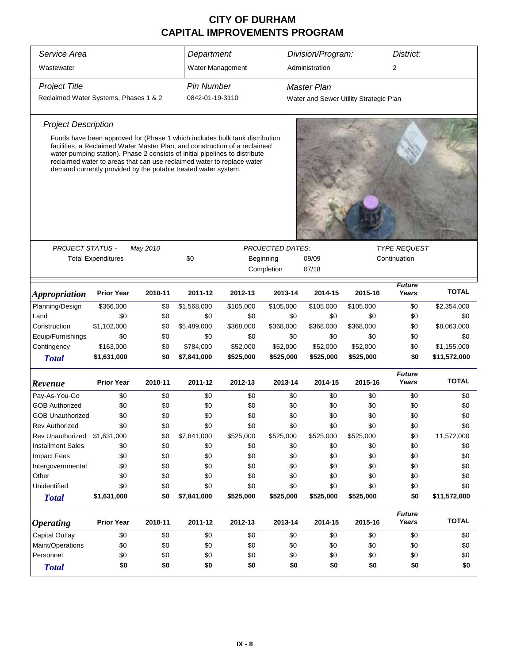| Service Area                          |                           |          |                                                                                                                                                                                                                                                                                                                                                                                      |           | District:               |                                        |              |                        |              |
|---------------------------------------|---------------------------|----------|--------------------------------------------------------------------------------------------------------------------------------------------------------------------------------------------------------------------------------------------------------------------------------------------------------------------------------------------------------------------------------------|-----------|-------------------------|----------------------------------------|--------------|------------------------|--------------|
|                                       |                           |          | Department                                                                                                                                                                                                                                                                                                                                                                           |           |                         | Division/Program:                      |              |                        |              |
| Wastewater                            |                           |          | Water Management                                                                                                                                                                                                                                                                                                                                                                     |           |                         | Administration                         |              | 2                      |              |
| <b>Project Title</b>                  |                           |          | <b>Pin Number</b>                                                                                                                                                                                                                                                                                                                                                                    |           |                         | <b>Master Plan</b>                     |              |                        |              |
| Reclaimed Water Systems, Phases 1 & 2 |                           |          | 0842-01-19-3110                                                                                                                                                                                                                                                                                                                                                                      |           |                         | Water and Sewer Utility Strategic Plan |              |                        |              |
| <b>Project Description</b>            |                           |          |                                                                                                                                                                                                                                                                                                                                                                                      |           |                         |                                        |              |                        |              |
|                                       |                           |          | Funds have been approved for (Phase 1 which includes bulk tank distribution<br>facilities, a Reclaimed Water Master Plan, and construction of a reclaimed<br>water pumping station). Phase 2 consists of initial pipelines to distribute<br>reclaimed water to areas that can use reclaimed water to replace water<br>demand currently provided by the potable treated water system. |           |                         |                                        |              |                        |              |
|                                       |                           |          |                                                                                                                                                                                                                                                                                                                                                                                      |           |                         |                                        |              |                        |              |
| <b>PROJECT STATUS -</b>               |                           | May 2010 |                                                                                                                                                                                                                                                                                                                                                                                      |           | <b>PROJECTED DATES:</b> |                                        |              | <b>TYPE REQUEST</b>    |              |
|                                       | <b>Total Expenditures</b> |          | \$0                                                                                                                                                                                                                                                                                                                                                                                  |           | Beginning               | 09/09                                  | Continuation |                        |              |
|                                       |                           |          |                                                                                                                                                                                                                                                                                                                                                                                      |           | Completion              | 07/18                                  |              |                        |              |
| <i><b>Appropriation</b></i>           | <b>Prior Year</b>         | 2010-11  | 2011-12                                                                                                                                                                                                                                                                                                                                                                              | 2012-13   | 2013-14                 | 2014-15                                | 2015-16      | <b>Future</b><br>Years | <b>TOTAL</b> |
| Planning/Design                       | \$366,000                 | \$0      | \$1,568,000                                                                                                                                                                                                                                                                                                                                                                          | \$105,000 | \$105,000               | \$105,000                              | \$105,000    | \$0                    | \$2,354,000  |
| Land                                  | \$0                       | \$0      | \$0                                                                                                                                                                                                                                                                                                                                                                                  | \$0       | \$0                     | \$0                                    | \$0          | \$0                    | \$0          |
| Construction                          | \$1,102,000               | \$0      | \$5,489,000                                                                                                                                                                                                                                                                                                                                                                          | \$368,000 | \$368,000               | \$368,000                              | \$368,000    | \$0                    | \$8,063,000  |
| Equip/Furnishings                     | \$0                       | \$0      | \$0                                                                                                                                                                                                                                                                                                                                                                                  | \$0       | \$0                     | \$0                                    | \$0          | \$0                    | \$0          |
| Contingency                           | \$163,000                 | \$0      | \$784,000                                                                                                                                                                                                                                                                                                                                                                            | \$52,000  | \$52,000                | \$52,000                               | \$52,000     | \$0                    | \$1,155,000  |
| <b>Total</b>                          | \$1,631,000               | \$0      | \$7,841,000                                                                                                                                                                                                                                                                                                                                                                          | \$525,000 | \$525,000               | \$525,000                              | \$525,000    | \$0                    | \$11,572,000 |
| Revenue                               | <b>Prior Year</b>         | 2010-11  | 2011-12                                                                                                                                                                                                                                                                                                                                                                              | 2012-13   | 2013-14                 | 2014-15                                | 2015-16      | <b>Future</b><br>Years | <b>TOTAL</b> |
| Pay-As-You-Go                         | \$0                       | \$0      | \$0                                                                                                                                                                                                                                                                                                                                                                                  | \$0       | \$0                     | \$0                                    | \$0          | \$0                    | \$0          |
| <b>GOB Authorized</b>                 | \$0                       | \$0      | \$0                                                                                                                                                                                                                                                                                                                                                                                  | \$0       | \$0                     | \$0                                    | \$0          | \$0                    | \$0          |
| <b>GOB Unauthorized</b>               | \$0                       | \$0      | \$0                                                                                                                                                                                                                                                                                                                                                                                  | \$0       | \$0                     | \$0                                    | \$0          | \$0                    | \$0          |
| Rev Authorized                        | \$0                       | \$0      | \$0                                                                                                                                                                                                                                                                                                                                                                                  | \$0       | \$0                     | \$0                                    | \$0          | \$0                    | \$0          |
| Rev Unauthorized                      | \$1,631,000               | \$0      | \$7,841,000                                                                                                                                                                                                                                                                                                                                                                          | \$525,000 | \$525,000               | \$525,000                              | \$525,000    | \$0                    | 11,572,000   |
| <b>Installment Sales</b>              | \$0                       | \$0      | \$0                                                                                                                                                                                                                                                                                                                                                                                  | \$0       | \$0                     | \$0                                    | \$0          | \$0                    | \$0          |
| <b>Impact Fees</b>                    | \$0                       | \$0      | \$0                                                                                                                                                                                                                                                                                                                                                                                  | \$0       | \$0                     | \$0                                    | \$0          | \$0                    | \$0          |
| Intergovernmental                     | \$0                       | \$0      | \$0                                                                                                                                                                                                                                                                                                                                                                                  | \$0       | \$0                     | \$0                                    | \$0          | \$0                    | \$0          |
| Other                                 | \$0                       | \$0      | \$0                                                                                                                                                                                                                                                                                                                                                                                  | \$0       | \$0                     | \$0                                    | \$0          | \$0                    | \$0          |
| Unidentified                          | \$0                       | \$0      | \$0                                                                                                                                                                                                                                                                                                                                                                                  | \$0       | \$0                     | \$0                                    | \$0          | \$0                    | \$0          |
| <b>Total</b>                          | \$1,631,000               | \$0      | \$7,841,000                                                                                                                                                                                                                                                                                                                                                                          | \$525,000 | \$525,000               | \$525,000                              | \$525,000    | \$0                    | \$11,572,000 |
| <b>Operating</b>                      | <b>Prior Year</b>         | 2010-11  | 2011-12                                                                                                                                                                                                                                                                                                                                                                              | 2012-13   | 2013-14                 | 2014-15                                | 2015-16      | <b>Future</b><br>Years | <b>TOTAL</b> |
| Capital Outlay                        | \$0                       | \$0      | \$0                                                                                                                                                                                                                                                                                                                                                                                  | \$0       | \$0                     | \$0                                    | \$0          | \$0                    | \$0          |
| Maint/Operations                      | \$0                       | \$0      | \$0                                                                                                                                                                                                                                                                                                                                                                                  | \$0       | \$0                     | \$0                                    | \$0          | \$0                    | \$0          |
| Personnel                             | \$0                       | \$0      | \$0                                                                                                                                                                                                                                                                                                                                                                                  | \$0       | \$0                     | \$0                                    | \$0          | \$0                    | \$0          |
| <b>Total</b>                          | \$0                       | \$0      | \$0                                                                                                                                                                                                                                                                                                                                                                                  | \$0       | \$0                     | \$0                                    | \$0          | \$0                    | \$0          |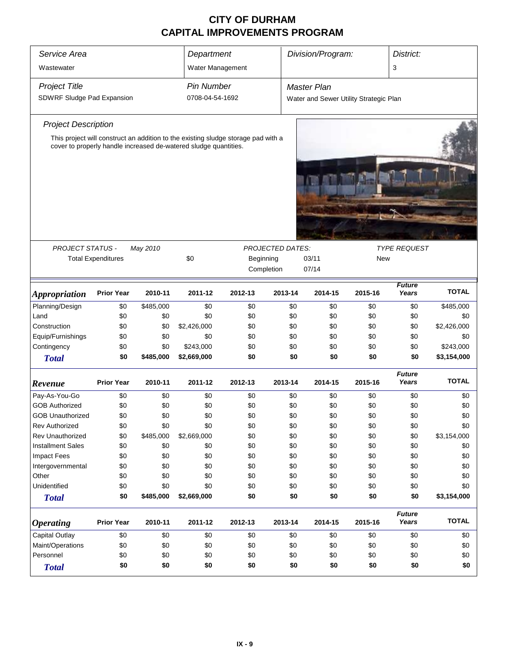| Service Area<br>Wastewater                         |                                                                |           |                                                                                                                                                       | Department<br>Water Management |            | Division/Program:                                            |            | District:<br>3         |                    |  |
|----------------------------------------------------|----------------------------------------------------------------|-----------|-------------------------------------------------------------------------------------------------------------------------------------------------------|--------------------------------|------------|--------------------------------------------------------------|------------|------------------------|--------------------|--|
| <b>Project Title</b><br>SDWRF Sludge Pad Expansion |                                                                |           | <b>Pin Number</b><br>0708-04-54-1692                                                                                                                  |                                |            | <b>Master Plan</b><br>Water and Sewer Utility Strategic Plan |            |                        |                    |  |
| <b>Project Description</b>                         |                                                                |           |                                                                                                                                                       |                                |            |                                                              |            |                        |                    |  |
|                                                    |                                                                |           | This project will construct an addition to the existing sludge storage pad with a<br>cover to properly handle increased de-watered sludge quantities. |                                |            |                                                              |            |                        |                    |  |
|                                                    |                                                                |           |                                                                                                                                                       |                                |            |                                                              |            |                        |                    |  |
|                                                    |                                                                |           |                                                                                                                                                       |                                |            |                                                              |            |                        |                    |  |
|                                                    | <b>PROJECT STATUS -</b><br><b>PROJECTED DATES:</b><br>May 2010 |           |                                                                                                                                                       |                                |            |                                                              |            | <b>TYPE REQUEST</b>    |                    |  |
|                                                    | <b>Total Expenditures</b>                                      |           | \$0                                                                                                                                                   | Beginning                      | Completion | 03/11<br>07/14                                               | <b>New</b> |                        |                    |  |
| <i><b>Appropriation</b></i>                        | <b>Prior Year</b>                                              | 2010-11   | 2011-12                                                                                                                                               | 2012-13                        | 2013-14    | 2014-15                                                      | 2015-16    | <b>Future</b><br>Years | <b>TOTAL</b>       |  |
| Planning/Design                                    | \$0                                                            | \$485,000 | \$0                                                                                                                                                   | \$0                            | \$0        | \$0                                                          | \$0        | \$0                    | \$485,000          |  |
| Land                                               | \$0                                                            | \$0       | \$0                                                                                                                                                   | \$0                            | \$0        | \$0                                                          | \$0        | \$0                    | \$0                |  |
| Construction                                       | \$0                                                            | \$0       | \$2,426,000                                                                                                                                           | \$0                            | \$0        | \$0                                                          | \$0        | \$0                    | \$2,426,000        |  |
| Equip/Furnishings                                  | \$0                                                            | \$0       | \$0                                                                                                                                                   | \$0                            | \$0        | \$0                                                          | \$0        | \$0                    | \$0                |  |
| Contingency                                        | \$0                                                            | \$0       | \$243,000                                                                                                                                             | \$0                            | \$0        | \$0                                                          | \$0        | \$0                    | \$243,000          |  |
| <b>Total</b>                                       | \$0                                                            | \$485,000 | \$2,669,000                                                                                                                                           | \$0                            | \$0        | \$0                                                          | \$0        | \$0                    | \$3,154,000        |  |
| Revenue                                            | <b>Prior Year</b>                                              | 2010-11   | 2011-12                                                                                                                                               | 2012-13                        | 2013-14    | 2014-15                                                      | 2015-16    | <b>Future</b><br>Years | <b>TOTAL</b>       |  |
| Pay-As-You-Go                                      | \$0                                                            | \$0       | \$0                                                                                                                                                   | \$0                            | \$0        | \$0                                                          | \$0        | \$0                    | \$0                |  |
| <b>GOB Authorized</b>                              | \$0                                                            | \$0       | \$0                                                                                                                                                   | \$0                            | \$0        | \$0                                                          | \$0        | \$0                    | \$0                |  |
| <b>GOB Unauthorized</b>                            | \$0                                                            | \$0       | \$0                                                                                                                                                   | \$0                            | \$0        | \$0                                                          | \$0        | \$0                    | \$0                |  |
| Rev Authorized                                     | \$0                                                            | \$0       | \$0                                                                                                                                                   | \$0                            | \$0        | \$0                                                          | \$0        | \$0                    | \$0                |  |
| <b>Rev Unauthorized</b>                            | \$0                                                            | \$485,000 | \$2,669,000                                                                                                                                           | \$0                            | \$0        | \$0                                                          | \$0        | \$0                    | \$3,154,000        |  |
| <b>Installment Sales</b>                           | \$0                                                            | \$0       | \$0                                                                                                                                                   | \$0                            | \$0        | \$0                                                          | \$0        | \$0                    | \$0                |  |
| <b>Impact Fees</b>                                 | \$0                                                            | \$0       | \$0                                                                                                                                                   | \$0                            | \$0        | \$0                                                          | \$0        | \$0                    | \$0                |  |
| Intergovernmental                                  | \$0                                                            | \$0       | \$0                                                                                                                                                   | \$0                            | \$0        | \$0                                                          | \$0        | \$0                    | \$0                |  |
| Other                                              | \$0                                                            | \$0       | \$0                                                                                                                                                   | \$0                            | \$0        | \$0                                                          | \$0        | \$0                    | \$0                |  |
| Unidentified                                       | \$0<br>\$0                                                     | \$0       | \$0                                                                                                                                                   | \$0<br>\$0                     | \$0<br>\$0 | \$0<br>\$0                                                   | \$0<br>\$0 | \$0<br>\$0             | \$0<br>\$3,154,000 |  |
| <b>Total</b>                                       |                                                                | \$485,000 | \$2,669,000                                                                                                                                           |                                |            |                                                              |            |                        |                    |  |
| <b>Operating</b>                                   | <b>Prior Year</b>                                              | 2010-11   | 2011-12                                                                                                                                               | 2012-13                        | 2013-14    | 2014-15                                                      | 2015-16    | <b>Future</b><br>Years | <b>TOTAL</b>       |  |
| Capital Outlay                                     | \$0                                                            | \$0       | \$0                                                                                                                                                   | \$0                            | \$0        | \$0                                                          | \$0        | \$0                    | \$0                |  |
| Maint/Operations                                   | \$0                                                            | \$0       | \$0                                                                                                                                                   | \$0                            | \$0        | \$0                                                          | \$0        | \$0                    | \$0                |  |
| Personnel                                          | \$0                                                            | \$0       | \$0                                                                                                                                                   | \$0                            | \$0        | \$0                                                          | \$0        | \$0                    | \$0                |  |
| <b>Total</b>                                       | \$0                                                            | \$0       | \$0                                                                                                                                                   | \$0                            | \$0        | \$0                                                          | \$0        | \$0                    | \$0                |  |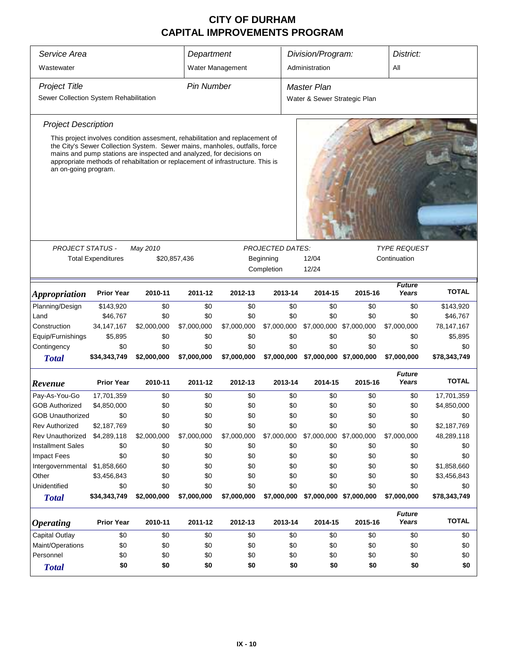| Service Area<br>Wastewater                                     |                                                                                                                                                                                                                                                                                                                      |             | Department        | Water Management |                         | Division/Program:<br>Administration         |                         |                        | District:      |  |
|----------------------------------------------------------------|----------------------------------------------------------------------------------------------------------------------------------------------------------------------------------------------------------------------------------------------------------------------------------------------------------------------|-------------|-------------------|------------------|-------------------------|---------------------------------------------|-------------------------|------------------------|----------------|--|
| <b>Project Title</b><br>Sewer Collection System Rehabilitation |                                                                                                                                                                                                                                                                                                                      |             | <b>Pin Number</b> |                  |                         | Master Plan<br>Water & Sewer Strategic Plan |                         |                        |                |  |
| <b>Project Description</b>                                     |                                                                                                                                                                                                                                                                                                                      |             |                   |                  |                         |                                             |                         |                        |                |  |
| an on-going program.                                           | This project involves condition assesment, rehabilitation and replacement of<br>the City's Sewer Collection System. Sewer mains, manholes, outfalls, force<br>mains and pump stations are inspected and analyzed, for decisions on<br>appropriate methods of rehabiltation or replacement of infrastructure. This is |             |                   |                  |                         |                                             |                         |                        |                |  |
|                                                                |                                                                                                                                                                                                                                                                                                                      |             |                   |                  |                         |                                             |                         |                        |                |  |
| <b>PROJECT STATUS -</b>                                        |                                                                                                                                                                                                                                                                                                                      | May 2010    |                   |                  | <b>PROJECTED DATES:</b> |                                             |                         | <b>TYPE REQUEST</b>    |                |  |
|                                                                | <b>Total Expenditures</b>                                                                                                                                                                                                                                                                                            |             | \$20,857,436      |                  | Beginning<br>Completion | 12/04<br>12/24                              | Continuation            |                        |                |  |
|                                                                |                                                                                                                                                                                                                                                                                                                      |             |                   |                  |                         |                                             |                         | <b>TOTAL</b>           |                |  |
| <i><b>Appropriation</b></i>                                    | <b>Prior Year</b>                                                                                                                                                                                                                                                                                                    | 2010-11     | 2011-12           | 2012-13          | 2013-14                 | 2014-15                                     | 2015-16                 | Years                  |                |  |
| Planning/Design                                                | \$143,920                                                                                                                                                                                                                                                                                                            | \$0         | \$0               | \$0              | \$0                     | \$0                                         | \$0                     | \$0                    | \$143,920      |  |
| Land                                                           | \$46,767                                                                                                                                                                                                                                                                                                             | \$0         | \$0               | \$0              | \$0                     | \$0                                         | \$0                     | \$0                    | \$46,767       |  |
| Construction                                                   | 34, 147, 167                                                                                                                                                                                                                                                                                                         | \$2,000,000 | \$7,000,000       | \$7,000,000      | \$7,000,000             | \$7,000,000                                 | \$7,000,000             | \$7,000,000            | 78,147,167     |  |
| Equip/Furnishings<br>Contingency                               | \$5,895<br>\$0                                                                                                                                                                                                                                                                                                       | \$0<br>\$0  | \$0<br>\$0        | \$0<br>\$0       | \$0<br>\$0              | \$0<br>\$0                                  | \$0<br>\$0              | \$0<br>\$0             | \$5,895<br>\$0 |  |
| <b>Total</b>                                                   | \$34,343,749                                                                                                                                                                                                                                                                                                         | \$2,000,000 | \$7,000,000       | \$7,000,000      | \$7,000,000             |                                             | \$7,000,000 \$7,000,000 | \$7,000,000            | \$78,343,749   |  |
| Revenue                                                        | <b>Prior Year</b>                                                                                                                                                                                                                                                                                                    | 2010-11     | 2011-12           | 2012-13          | 2013-14                 | 2014-15                                     | 2015-16                 | <b>Future</b><br>Years | <b>TOTAL</b>   |  |
| Pay-As-You-Go                                                  | 17,701,359                                                                                                                                                                                                                                                                                                           | \$0         | \$0               | \$0              | \$0                     | \$0                                         | \$0                     | \$0                    | 17,701,359     |  |
| <b>GOB Authorized</b>                                          | \$4,850,000                                                                                                                                                                                                                                                                                                          | \$0         | \$0               | \$0              | \$0                     | \$0                                         | \$0                     | \$0                    | \$4,850,000    |  |
| <b>GOB Unauthorized</b>                                        | \$0                                                                                                                                                                                                                                                                                                                  | \$0         | \$0               | \$0              | \$0                     | \$0                                         | \$0                     | \$0                    | \$0            |  |
| <b>Rev Authorized</b>                                          | \$2,187,769                                                                                                                                                                                                                                                                                                          | \$0         | \$0               | \$0              | \$0                     | \$0                                         | \$0                     | \$0                    | \$2,187,769    |  |
| Rev Unauthorized                                               | \$4,289,118                                                                                                                                                                                                                                                                                                          | \$2,000,000 | \$7,000,000       | \$7,000,000      | \$7,000,000             | \$7,000,000 \$7,000,000                     |                         | \$7,000,000            | 48,289,118     |  |
| <b>Installment Sales</b>                                       | \$0                                                                                                                                                                                                                                                                                                                  | \$0         | \$0               | \$0              | \$0                     | \$0                                         | \$0                     | \$0                    | \$0            |  |
| Impact Fees                                                    | \$0                                                                                                                                                                                                                                                                                                                  | \$0         | \$0               | \$0              | \$0                     | \$0                                         | \$0                     | \$0                    | \$0            |  |
| Intergovernmental                                              | \$1,858,660                                                                                                                                                                                                                                                                                                          | \$0         | \$0               | \$0              | \$0                     | \$0                                         | \$0                     | \$0                    | \$1,858,660    |  |
| Other                                                          | \$3,456,843                                                                                                                                                                                                                                                                                                          | \$0         | \$0               | \$0              | \$0                     | \$0                                         | \$0                     | \$0                    | \$3,456,843    |  |
| Unidentified                                                   | \$0                                                                                                                                                                                                                                                                                                                  | \$0         | \$0               | \$0              | \$0                     | \$0                                         | \$0                     | \$0                    | \$0            |  |
| <b>Total</b>                                                   | \$34,343,749                                                                                                                                                                                                                                                                                                         | \$2,000,000 | \$7,000,000       | \$7,000,000      | \$7,000,000             |                                             | \$7,000,000 \$7,000,000 | \$7,000,000            | \$78,343,749   |  |
| <i><b>Operating</b></i>                                        | <b>Prior Year</b>                                                                                                                                                                                                                                                                                                    | 2010-11     | 2011-12           | 2012-13          | 2013-14                 | 2014-15                                     | 2015-16                 | <b>Future</b><br>Years | <b>TOTAL</b>   |  |
| Capital Outlay                                                 | \$0                                                                                                                                                                                                                                                                                                                  | \$0         | \$0               | \$0              | \$0                     | \$0                                         | \$0                     | \$0                    | \$0            |  |
| Maint/Operations                                               | \$0                                                                                                                                                                                                                                                                                                                  | \$0         | \$0               | \$0              | \$0                     | \$0                                         | \$0                     | \$0                    | \$0            |  |
| Personnel                                                      | \$0                                                                                                                                                                                                                                                                                                                  | \$0         | \$0               | \$0              | \$0                     | \$0                                         | \$0                     | \$0                    | \$0            |  |
| <b>Total</b>                                                   | \$0                                                                                                                                                                                                                                                                                                                  | \$0         | \$0               | \$0              | \$0                     | \$0                                         | \$0                     | \$0                    | \$0            |  |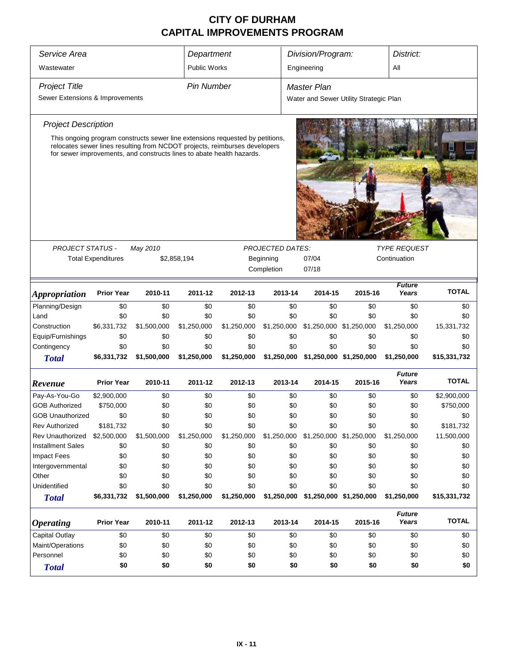| Service Area                    |                           |                                                                                                                                                     | Department        |             |                         | Division/Program:<br>District:         |                         |                        |              |
|---------------------------------|---------------------------|-----------------------------------------------------------------------------------------------------------------------------------------------------|-------------------|-------------|-------------------------|----------------------------------------|-------------------------|------------------------|--------------|
| Wastewater                      |                           |                                                                                                                                                     | Public Works      |             |                         | Engineering                            |                         | All                    |              |
|                                 |                           |                                                                                                                                                     |                   |             |                         |                                        |                         |                        |              |
| <b>Project Title</b>            |                           |                                                                                                                                                     | <b>Pin Number</b> |             |                         | <b>Master Plan</b>                     |                         |                        |              |
| Sewer Extensions & Improvements |                           |                                                                                                                                                     |                   |             |                         | Water and Sewer Utility Strategic Plan |                         |                        |              |
| <b>Project Description</b>      |                           |                                                                                                                                                     |                   |             |                         |                                        |                         |                        |              |
|                                 |                           | This ongoing program constructs sewer line extensions requested by petitions,                                                                       |                   |             |                         |                                        |                         |                        |              |
|                                 |                           | relocates sewer lines resulting from NCDOT projects, reimburses developers<br>for sewer improvements, and constructs lines to abate health hazards. |                   |             |                         |                                        |                         |                        |              |
|                                 |                           |                                                                                                                                                     |                   |             |                         |                                        |                         |                        |              |
|                                 |                           |                                                                                                                                                     |                   |             |                         |                                        |                         |                        |              |
|                                 |                           |                                                                                                                                                     |                   |             |                         |                                        |                         |                        |              |
|                                 |                           |                                                                                                                                                     |                   |             |                         |                                        |                         |                        |              |
|                                 |                           |                                                                                                                                                     |                   |             |                         |                                        |                         |                        |              |
| <b>PROJECT STATUS -</b>         |                           | May 2010                                                                                                                                            |                   |             | <b>PROJECTED DATES:</b> |                                        |                         | <b>TYPE REQUEST</b>    |              |
|                                 | <b>Total Expenditures</b> |                                                                                                                                                     | \$2,858,194       |             | Beginning               | 07/04                                  |                         | Continuation           |              |
|                                 |                           |                                                                                                                                                     |                   |             | Completion              | 07/18                                  |                         |                        |              |
|                                 |                           |                                                                                                                                                     |                   |             |                         |                                        |                         | <b>Future</b>          |              |
| <i><b>Appropriation</b></i>     | <b>Prior Year</b>         | 2010-11                                                                                                                                             | 2011-12           | 2012-13     | 2013-14                 | 2014-15                                | 2015-16                 | Years                  | <b>TOTAL</b> |
| Planning/Design                 | \$0                       | \$0                                                                                                                                                 | \$0               | \$0         | \$0                     | \$0                                    | \$0                     | \$0                    | \$0          |
| Land                            | \$0                       | \$0                                                                                                                                                 | \$0               | \$0         | \$0                     | \$0                                    | \$0                     | \$0                    | \$0          |
| Construction                    | \$6,331,732               | \$1,500,000                                                                                                                                         | \$1,250,000       | \$1,250,000 | \$1,250,000             |                                        | \$1,250,000 \$1,250,000 | \$1,250,000            | 15,331,732   |
| Equip/Furnishings               | \$0                       | \$0                                                                                                                                                 | \$0               | \$0         | \$0                     | \$0                                    | \$0                     | \$0                    | \$0          |
| Contingency                     | \$0                       | \$0                                                                                                                                                 | \$0               | \$0         | \$0                     | \$0                                    | \$0                     | \$0                    | \$0          |
| <b>Total</b>                    | \$6,331,732               | \$1,500,000                                                                                                                                         | \$1,250,000       | \$1,250,000 |                         | \$1,250,000 \$1,250,000 \$1,250,000    |                         | \$1,250,000            | \$15,331,732 |
| Revenue                         | <b>Prior Year</b>         | 2010-11                                                                                                                                             | 2011-12           | 2012-13     | 2013-14                 | 2014-15                                | 2015-16                 | <b>Future</b><br>Years | <b>TOTAL</b> |
| Pay-As-You-Go                   | \$2,900,000               | \$0                                                                                                                                                 | \$0               | \$0         | \$0                     | \$0                                    | \$0                     | \$0                    | \$2,900,000  |
| <b>GOB Authorized</b>           | \$750,000                 | \$0                                                                                                                                                 | \$0               | \$0         | \$0                     | \$0                                    | \$0                     | \$0                    | \$750,000    |
| <b>GOB Unauthorized</b>         | \$0                       | \$0                                                                                                                                                 | \$0               | \$0         | \$0                     | \$0                                    | \$0                     | \$0                    | \$0          |
| <b>Rev Authorized</b>           | \$181,732                 | \$0                                                                                                                                                 | \$0               | \$0         | \$0                     | \$0                                    | \$0                     | \$0                    | \$181,732    |
| <b>Rev Unauthorized</b>         | \$2,500,000               | \$1,500,000                                                                                                                                         | \$1,250,000       | \$1,250,000 | \$1,250,000             |                                        | \$1,250,000 \$1,250,000 | \$1,250,000            | 11,500,000   |
| <b>Installment Sales</b>        | \$0                       | \$0                                                                                                                                                 | \$0               | \$0         | \$0                     | \$0                                    | \$0                     | \$0                    | \$0          |
| Impact Fees                     | \$0                       | \$0                                                                                                                                                 | \$0               | \$0         | \$0                     | \$0                                    | \$0                     | \$0                    | \$0          |
| Intergovernmental               | \$0                       | \$0                                                                                                                                                 | \$0               | \$0         | \$0                     | \$0                                    | \$0                     | \$0                    | \$0          |
| Other                           | \$0                       | \$0                                                                                                                                                 | \$0               | \$0         | \$0                     | \$0                                    | \$0                     | \$0                    | \$0          |
| Unidentified                    | \$0                       | \$0                                                                                                                                                 | \$0               | \$0         | \$0                     | \$0                                    | \$0                     | \$0                    | \$0          |
| <b>Total</b>                    | \$6,331,732               | \$1,500,000                                                                                                                                         | \$1,250,000       | \$1,250,000 | \$1,250,000             |                                        | \$1,250,000 \$1,250,000 | \$1,250,000            | \$15,331,732 |
| <i><b>Operating</b></i>         | <b>Prior Year</b>         | 2010-11                                                                                                                                             | 2011-12           | 2012-13     | 2013-14                 | 2014-15                                | 2015-16                 | <b>Future</b><br>Years | <b>TOTAL</b> |
| Capital Outlay                  | \$0                       | \$0                                                                                                                                                 | \$0               | \$0         | \$0                     | \$0                                    | \$0                     | \$0                    | \$0          |
| Maint/Operations                | \$0                       | \$0                                                                                                                                                 | \$0               | \$0         | \$0                     | \$0                                    | \$0                     | \$0                    | \$0          |
| Personnel                       | \$0                       | \$0                                                                                                                                                 | \$0               | \$0         | \$0                     | \$0                                    | \$0                     | \$0                    | \$0          |
| <b>Total</b>                    | \$0                       | \$0                                                                                                                                                 | \$0               | \$0         | \$0                     | \$0                                    | \$0                     | \$0                    | \$0          |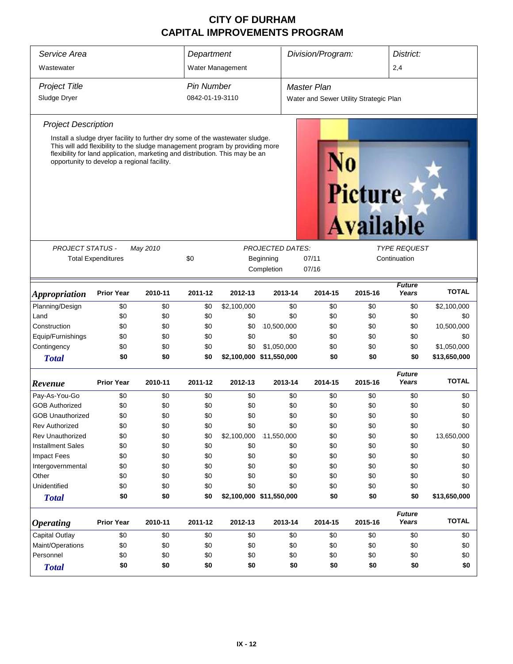| Service Area                                                                                                                                                                                                                                                                                                                       |                   |         | Department              |                                        |             | Division/Program: |                    |              | District:              |                     |  |  |
|------------------------------------------------------------------------------------------------------------------------------------------------------------------------------------------------------------------------------------------------------------------------------------------------------------------------------------|-------------------|---------|-------------------------|----------------------------------------|-------------|-------------------|--------------------|--------------|------------------------|---------------------|--|--|
| Wastewater                                                                                                                                                                                                                                                                                                                         |                   |         | Water Management        |                                        |             |                   |                    |              | 2,4                    |                     |  |  |
| <b>Project Title</b>                                                                                                                                                                                                                                                                                                               |                   |         |                         | <b>Pin Number</b>                      |             |                   | <b>Master Plan</b> |              |                        |                     |  |  |
| Sludge Dryer                                                                                                                                                                                                                                                                                                                       | 0842-01-19-3110   |         |                         | Water and Sewer Utility Strategic Plan |             |                   |                    |              |                        |                     |  |  |
| <b>Project Description</b>                                                                                                                                                                                                                                                                                                         |                   |         |                         |                                        |             |                   |                    |              |                        |                     |  |  |
| Install a sludge dryer facility to further dry some of the wastewater sludge.<br>This will add flexibility to the sludge management program by providing more<br>flexibility for land application, marketing and distribution. This may be an<br>opportunity to develop a regional facility.<br><b>Picture</b><br><b>Available</b> |                   |         |                         |                                        |             |                   |                    |              |                        |                     |  |  |
|                                                                                                                                                                                                                                                                                                                                    |                   |         |                         | <b>PROJECTED DATES:</b>                |             |                   |                    |              |                        | <b>TYPE REQUEST</b> |  |  |
| <b>PROJECT STATUS -</b><br>May 2010<br><b>Total Expenditures</b>                                                                                                                                                                                                                                                                   |                   | \$0     | Beginning<br>Completion |                                        |             | 07/11<br>07/16    |                    | Continuation |                        |                     |  |  |
| <i><b>Appropriation</b></i>                                                                                                                                                                                                                                                                                                        | <b>Prior Year</b> | 2010-11 | 2011-12                 | 2012-13                                | 2013-14     |                   | 2014-15            | 2015-16      | <b>Future</b><br>Years | <b>TOTAL</b>        |  |  |
| Planning/Design                                                                                                                                                                                                                                                                                                                    | \$0               | \$0     | \$0                     | \$2,100,000                            |             | \$0               | \$0                | \$0          | \$0                    | \$2,100,000         |  |  |
| Land                                                                                                                                                                                                                                                                                                                               | \$0               | \$0     | \$0                     | \$0                                    |             | \$0               | \$0                | \$0          | \$0                    | \$0                 |  |  |
| Construction                                                                                                                                                                                                                                                                                                                       | \$0               | \$0     | \$0                     | \$0                                    | 10,500,000  |                   | \$0                | \$0          | \$0                    | 10,500,000          |  |  |
| Equip/Furnishings                                                                                                                                                                                                                                                                                                                  | \$0               | \$0     | \$0                     | \$0                                    |             | \$0               | \$0                | \$0          | \$0                    | \$0                 |  |  |
| Contingency                                                                                                                                                                                                                                                                                                                        | \$0               | \$0     | \$0                     | \$0                                    | \$1,050,000 |                   | \$0                | \$0          | \$0                    | \$1,050,000         |  |  |
| <b>Total</b>                                                                                                                                                                                                                                                                                                                       | \$0               | \$0     | \$0                     | \$2,100,000 \$11,550,000               |             |                   | \$0                | \$0          | \$0                    | \$13,650,000        |  |  |
| Revenue                                                                                                                                                                                                                                                                                                                            | <b>Prior Year</b> | 2010-11 | 2011-12                 | 2012-13                                | 2013-14     |                   | 2014-15            | 2015-16      | <b>Future</b><br>Years | <b>TOTAL</b>        |  |  |
| Pay-As-You-Go                                                                                                                                                                                                                                                                                                                      | \$0               | \$0     | \$0                     | \$0                                    |             | \$0               | \$0                | \$0          | \$0                    | \$0                 |  |  |
| <b>GOB Authorized</b>                                                                                                                                                                                                                                                                                                              | \$0               | \$0     | \$0                     | \$0                                    |             | \$0               | \$0                | \$0          | \$0                    | \$0                 |  |  |
| <b>GOB Unauthorized</b>                                                                                                                                                                                                                                                                                                            | \$0               | \$0     | \$0                     | \$0                                    |             | \$0               | \$0                | \$0          | \$0                    | \$0                 |  |  |
| <b>Rev Authorized</b>                                                                                                                                                                                                                                                                                                              | \$0               | \$0     | \$0                     | \$0                                    |             | \$0               | \$0                | \$0          | \$0                    | \$0                 |  |  |
| Rev Unauthorized                                                                                                                                                                                                                                                                                                                   | \$0               | \$0     | \$0                     | \$2,100,000                            | 11,550,000  |                   | \$0                | \$0          | \$0                    | 13,650,000          |  |  |
| <b>Installment Sales</b>                                                                                                                                                                                                                                                                                                           | \$0               | \$0     | \$0                     | \$0                                    |             | \$0               | \$0                | \$0          | \$0                    | \$0                 |  |  |
| Impact Fees                                                                                                                                                                                                                                                                                                                        | \$0               | \$0     | \$0                     | \$0                                    |             | \$0               | \$0                | \$0          | \$0                    | \$0                 |  |  |
| Intergovernmental                                                                                                                                                                                                                                                                                                                  | \$0               | \$0     | \$0                     | \$0                                    |             | \$0               | \$0                | \$0          | \$0                    | \$0                 |  |  |
| Other                                                                                                                                                                                                                                                                                                                              | \$0               | \$0     | \$0                     | \$0                                    |             | \$0               | \$0                | \$0          | \$0                    | \$0                 |  |  |
| Unidentified                                                                                                                                                                                                                                                                                                                       | \$0               | \$0     | \$0                     | \$0                                    |             | \$0               | \$0                | \$0          | \$0                    | \$0                 |  |  |
| <b>Total</b>                                                                                                                                                                                                                                                                                                                       | \$0               | \$0     | \$0                     | \$2,100,000 \$11,550,000               |             |                   | \$0                | \$0          | \$0                    | \$13,650,000        |  |  |
| <b>Operating</b>                                                                                                                                                                                                                                                                                                                   | <b>Prior Year</b> | 2010-11 | 2011-12                 | 2012-13                                | 2013-14     |                   | 2014-15            | 2015-16      | <b>Future</b><br>Years | <b>TOTAL</b>        |  |  |
| <b>Capital Outlay</b>                                                                                                                                                                                                                                                                                                              | \$0               | \$0     | \$0                     | \$0                                    |             | \$0               | \$0                | \$0          | \$0                    | \$0                 |  |  |
| Maint/Operations                                                                                                                                                                                                                                                                                                                   | \$0               | \$0     | \$0                     | \$0                                    |             | \$0               | \$0                | \$0          | \$0                    | \$0                 |  |  |
| Personnel                                                                                                                                                                                                                                                                                                                          | \$0               | \$0     | \$0                     | \$0                                    |             | \$0               | \$0                | \$0          | \$0                    | \$0                 |  |  |
| <b>Total</b>                                                                                                                                                                                                                                                                                                                       | \$0               | \$0     | \$0                     | \$0                                    |             | \$0               | \$0                | \$0          | \$0                    | \$0                 |  |  |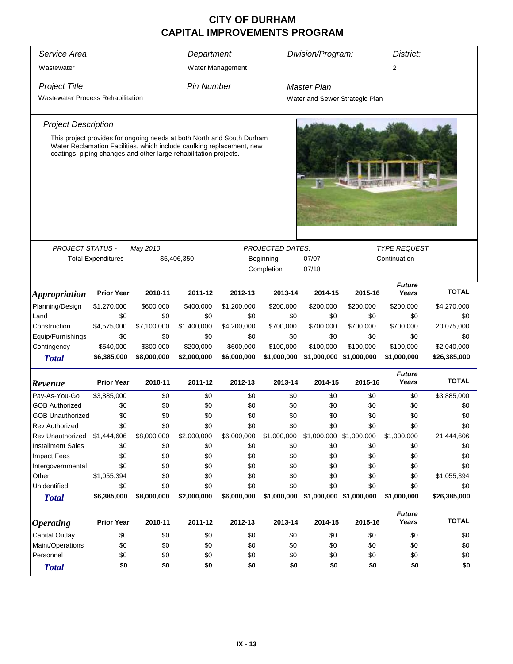| Service Area                                                                                                                                                                                                         | Department        |             |             | Division/Program:                    |             | District:                      |                         |                        |              |  |  |  |
|----------------------------------------------------------------------------------------------------------------------------------------------------------------------------------------------------------------------|-------------------|-------------|-------------|--------------------------------------|-------------|--------------------------------|-------------------------|------------------------|--------------|--|--|--|
| Wastewater                                                                                                                                                                                                           |                   |             |             | Water Management                     |             | $\overline{2}$                 |                         |                        |              |  |  |  |
| <b>Project Title</b>                                                                                                                                                                                                 | <b>Pin Number</b> |             |             | Master Plan                          |             |                                |                         |                        |              |  |  |  |
| <b>Wastewater Process Rehabilitation</b>                                                                                                                                                                             |                   |             |             |                                      |             | Water and Sewer Strategic Plan |                         |                        |              |  |  |  |
| <b>Project Description</b>                                                                                                                                                                                           |                   |             |             |                                      |             |                                |                         |                        |              |  |  |  |
| This project provides for ongoing needs at both North and South Durham<br>Water Reclamation Facilities, which include caulking replacement, new<br>coatings, piping changes and other large rehabilitation projects. |                   |             |             |                                      |             |                                |                         |                        |              |  |  |  |
|                                                                                                                                                                                                                      |                   |             |             |                                      |             | <b>TYPE REQUEST</b>            |                         |                        |              |  |  |  |
| <b>PROJECT STATUS -</b><br>May 2010<br><b>Total Expenditures</b><br>\$5,406,350                                                                                                                                      |                   |             |             | <b>PROJECTED DATES:</b><br>Beginning |             |                                |                         | Continuation           |              |  |  |  |
|                                                                                                                                                                                                                      |                   |             |             |                                      | Completion  | 07/07<br>07/18                 |                         |                        |              |  |  |  |
|                                                                                                                                                                                                                      |                   |             |             |                                      |             |                                |                         | <b>Future</b>          |              |  |  |  |
| <i><b>Appropriation</b></i>                                                                                                                                                                                          | <b>Prior Year</b> | 2010-11     | 2011-12     | 2012-13                              | 2013-14     | 2014-15                        | 2015-16                 | Years                  | <b>TOTAL</b> |  |  |  |
| Planning/Design                                                                                                                                                                                                      | \$1,270,000       | \$600,000   | \$400,000   | \$1,200,000                          | \$200,000   | \$200,000                      | \$200,000               | \$200,000              | \$4,270,000  |  |  |  |
| Land                                                                                                                                                                                                                 | \$0               | \$0         | \$0         | \$0                                  | \$0         | \$0                            | \$0                     | \$0                    | \$0          |  |  |  |
| Construction                                                                                                                                                                                                         | \$4,575,000       | \$7,100,000 | \$1,400,000 | \$4,200,000                          | \$700,000   | \$700,000                      | \$700,000               | \$700,000              | 20,075,000   |  |  |  |
| Equip/Furnishings                                                                                                                                                                                                    | \$0               | \$0         | \$0         | \$0                                  | \$0         | \$0                            | \$0                     | \$0                    | \$0          |  |  |  |
| Contingency                                                                                                                                                                                                          | \$540,000         | \$300,000   | \$200,000   | \$600,000                            | \$100,000   | \$100,000                      | \$100,000               | \$100,000              | \$2,040,000  |  |  |  |
| <b>Total</b>                                                                                                                                                                                                         | \$6,385,000       | \$8,000,000 | \$2,000,000 | \$6,000,000                          | \$1,000,000 | \$1,000,000                    | \$1,000,000             | \$1,000,000            | \$26,385,000 |  |  |  |
| Revenue                                                                                                                                                                                                              | <b>Prior Year</b> | 2010-11     | 2011-12     | 2012-13                              | 2013-14     | 2014-15                        | 2015-16                 | <b>Future</b><br>Years | <b>TOTAL</b> |  |  |  |
| Pay-As-You-Go                                                                                                                                                                                                        | \$3,885,000       | \$0         | \$0         | \$0                                  | \$0         | \$0                            | \$0                     | \$0                    | \$3,885,000  |  |  |  |
| <b>GOB Authorized</b>                                                                                                                                                                                                | \$0               | \$0         | \$0         | \$0                                  | \$0         | \$0                            | \$0                     | \$0                    | \$0          |  |  |  |
| <b>GOB Unauthorized</b>                                                                                                                                                                                              | \$0               | \$0         | \$0         | \$0                                  | \$0         | \$0                            | \$0                     | \$0                    | \$0          |  |  |  |
| <b>Rev Authorized</b>                                                                                                                                                                                                | \$0               | \$0         | \$0         | \$0                                  | \$0         | \$0                            | \$0                     | \$0                    | \$0          |  |  |  |
| Rev Unauthorized                                                                                                                                                                                                     | \$1,444,606       | \$8,000,000 | \$2,000,000 | \$6,000,000                          | \$1,000,000 | \$1,000,000 \$1,000,000        |                         | \$1,000,000            | 21,444,606   |  |  |  |
| <b>Installment Sales</b>                                                                                                                                                                                             | \$0               | \$0         | \$0         | \$0                                  | \$0         | \$0                            | \$0                     | \$0                    | \$0          |  |  |  |
| <b>Impact Fees</b>                                                                                                                                                                                                   | \$0               | \$0         | \$0         | \$0                                  | \$0         | \$0                            | \$0                     | \$0                    | \$0          |  |  |  |
| Intergovernmental                                                                                                                                                                                                    | \$0               | \$0         | \$0         | \$0                                  | \$0         | \$0                            | \$0                     | \$0                    | \$0          |  |  |  |
| Other                                                                                                                                                                                                                | \$1,055,394       | \$0         | \$0         | \$0                                  | \$0         | \$0                            | \$0                     | \$0                    | \$1,055,394  |  |  |  |
| Unidentified                                                                                                                                                                                                         | \$0               | \$0         | \$0         | \$0                                  | \$0         | \$0                            | \$0                     | \$0                    | \$0          |  |  |  |
| <b>Total</b>                                                                                                                                                                                                         | \$6,385,000       | \$8,000,000 | \$2,000,000 | \$6,000,000                          | \$1,000,000 |                                | \$1,000,000 \$1,000,000 | \$1,000,000            | \$26,385,000 |  |  |  |
| <b>Operating</b>                                                                                                                                                                                                     | <b>Prior Year</b> | 2010-11     | 2011-12     | 2012-13                              | 2013-14     | 2014-15                        | 2015-16                 | <b>Future</b><br>Years | <b>TOTAL</b> |  |  |  |
| <b>Capital Outlay</b>                                                                                                                                                                                                | \$0               | \$0         | \$0         | \$0                                  | \$0         | \$0                            | \$0                     | \$0                    | \$0          |  |  |  |
| Maint/Operations                                                                                                                                                                                                     | \$0               | \$0         | \$0         | \$0                                  | \$0         | \$0                            | \$0                     | \$0                    | \$0          |  |  |  |
| Personnel                                                                                                                                                                                                            | \$0               | \$0         | \$0         | \$0                                  | \$0         | \$0                            | \$0                     | \$0                    | \$0          |  |  |  |
| <b>Total</b>                                                                                                                                                                                                         | \$0               | \$0         | \$0         | \$0                                  | \$0         | \$0                            | \$0                     | \$0                    | \$0          |  |  |  |